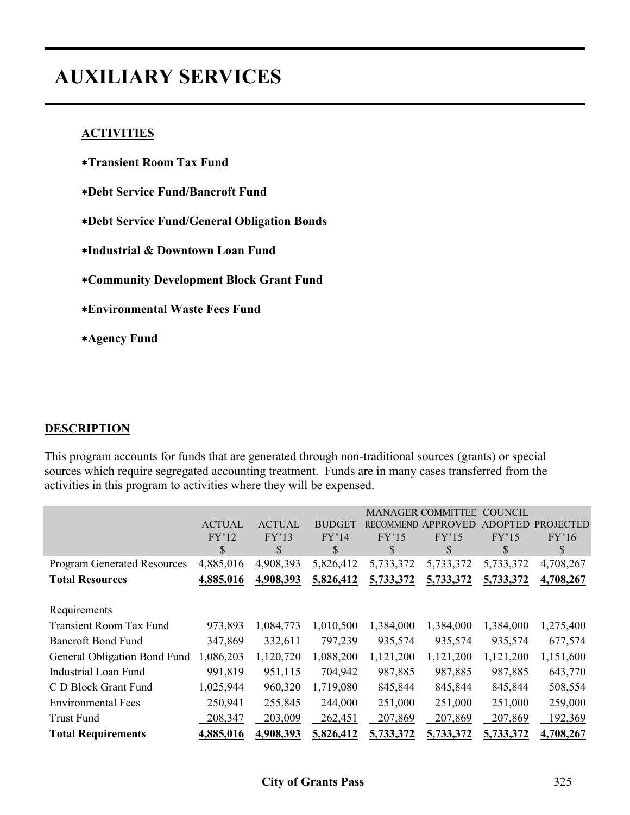# **AUXILIARY SERVICES**

#### **ACTIVITIES**

∗**Transient Room Tax Fund**  ∗**Debt Service Fund/Bancroft Fund** ∗**Debt Service Fund/General Obligation Bonds** ∗**Industrial & Downtown Loan Fund** ∗**Community Development Block Grant Fund** ∗**Environmental Waste Fees Fund** ∗**Agency Fund**

#### **DESCRIPTION**

This program accounts for funds that are generated through non-traditional sources (grants) or special sources which require segregated accounting treatment. Funds are in many cases transferred from the activities in this program to activities where they will be expensed.

|                                    | <b>ACTUAL</b><br>FY'12<br>\$ | <b>ACTUAL</b><br>FY'13<br>S | <b>BUDGET</b><br>FY'14<br>\$ | <b>RECOMMEND</b><br>FY'15<br>S | <b>MANAGER COMMITTEE</b><br><b>APPROVED</b><br>FY'15<br>\$ | <b>COUNCIL</b><br>DOPTED<br>FY'15<br>S | <b>PROJECTED</b><br>FY'16<br>S |
|------------------------------------|------------------------------|-----------------------------|------------------------------|--------------------------------|------------------------------------------------------------|----------------------------------------|--------------------------------|
| <b>Program Generated Resources</b> | 4,885,016                    | 4,908,393                   | 5,826,412                    | 5,733,372                      | 5,733,372                                                  | 5,733,372                              | 4,708,267                      |
| <b>Total Resources</b>             | 4,885,016                    | 4,908,393                   | 5,826,412                    | 5,733,372                      | 5,733,372                                                  | 5,733,372                              | 4,708,267                      |
|                                    |                              |                             |                              |                                |                                                            |                                        |                                |
| Requirements                       |                              |                             |                              |                                |                                                            |                                        |                                |
| <b>Transient Room Tax Fund</b>     | 973,893                      | 1,084,773                   | 1,010,500                    | 1,384,000                      | 1,384,000                                                  | 1,384,000                              | 1,275,400                      |
| <b>Bancroft Bond Fund</b>          | 347,869                      | 332,611                     | 797,239                      | 935,574                        | 935,574                                                    | 935,574                                | 677,574                        |
| General Obligation Bond Fund       | 1,086,203                    | 1,120,720                   | 1,088,200                    | 1,121,200                      | 1,121,200                                                  | 1,121,200                              | 1,151,600                      |
| <b>Industrial Loan Fund</b>        | 991,819                      | 951,115                     | 704,942                      | 987,885                        | 987,885                                                    | 987,885                                | 643,770                        |
| C D Block Grant Fund               | 1,025,944                    | 960,320                     | 1,719,080                    | 845,844                        | 845,844                                                    | 845,844                                | 508,554                        |
| <b>Environmental Fees</b>          | 250,941                      | 255,845                     | 244,000                      | 251,000                        | 251,000                                                    | 251,000                                | 259,000                        |
| <b>Trust Fund</b>                  | 208,347                      | 203,009                     | 262,451                      | 207,869                        | 207,869                                                    | 207,869                                | 192,369                        |
| <b>Total Requirements</b>          | 4,885,016                    | 4,908,393                   | 5,826,412                    | 5,733,372                      | 5,733,372                                                  | 5,733,372                              | 4,708,267                      |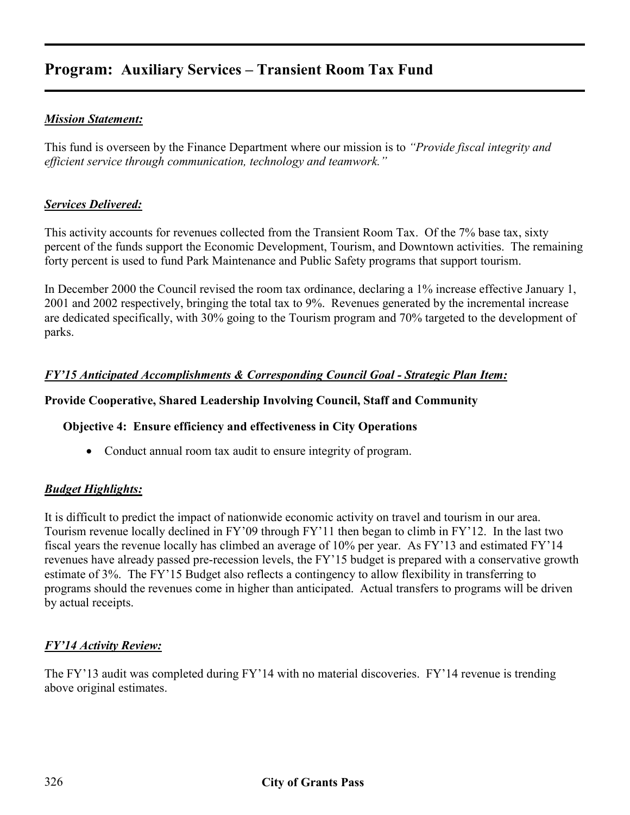## **Program: Auxiliary Services – Transient Room Tax Fund**

#### *Mission Statement:*

This fund is overseen by the Finance Department where our mission is to *"Provide fiscal integrity and efficient service through communication, technology and teamwork."* 

#### *Services Delivered:*

This activity accounts for revenues collected from the Transient Room Tax. Of the 7% base tax, sixty percent of the funds support the Economic Development, Tourism, and Downtown activities. The remaining forty percent is used to fund Park Maintenance and Public Safety programs that support tourism.

In December 2000 the Council revised the room tax ordinance, declaring a 1% increase effective January 1, 2001 and 2002 respectively, bringing the total tax to 9%. Revenues generated by the incremental increase are dedicated specifically, with 30% going to the Tourism program and 70% targeted to the development of parks.

#### *FY'15 Anticipated Accomplishments & Corresponding Council Goal - Strategic Plan Item:*

#### **Provide Cooperative, Shared Leadership Involving Council, Staff and Community**

#### **Objective 4: Ensure efficiency and effectiveness in City Operations**

• Conduct annual room tax audit to ensure integrity of program.

#### *Budget Highlights:*

It is difficult to predict the impact of nationwide economic activity on travel and tourism in our area. Tourism revenue locally declined in FY'09 through FY'11 then began to climb in FY'12. In the last two fiscal years the revenue locally has climbed an average of 10% per year. As FY'13 and estimated FY'14 revenues have already passed pre-recession levels, the FY'15 budget is prepared with a conservative growth estimate of 3%. The FY'15 Budget also reflects a contingency to allow flexibility in transferring to programs should the revenues come in higher than anticipated. Actual transfers to programs will be driven by actual receipts.

#### *FY'14 Activity Review:*

The FY'13 audit was completed during FY'14 with no material discoveries. FY'14 revenue is trending above original estimates.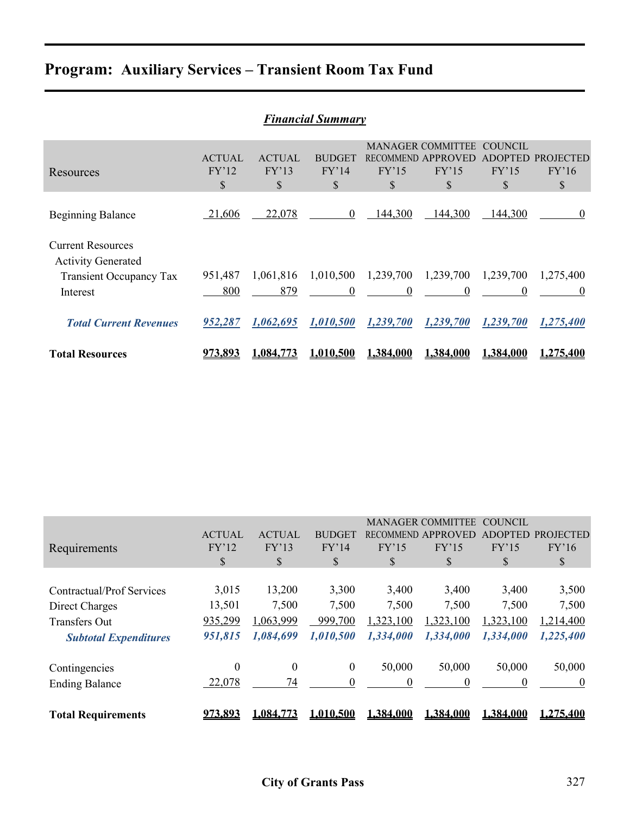## **Program: Auxiliary Services – Transient Room Tax Fund**

|                                                                                                     |                              |                              | <b>Financial Summary</b>     |                                 |                                                     |                                                 |                                 |
|-----------------------------------------------------------------------------------------------------|------------------------------|------------------------------|------------------------------|---------------------------------|-----------------------------------------------------|-------------------------------------------------|---------------------------------|
| Resources                                                                                           | <b>ACTUAL</b><br>FY'12<br>\$ | <b>ACTUAL</b><br>FY'13<br>\$ | <b>BUDGET</b><br>FY'14<br>\$ | <b>RECOMMEND</b><br>FY'15<br>\$ | <b>MANAGER COMMITTEE</b><br>APPROVED<br>FY'15<br>\$ | <b>COUNCIL</b><br><b>ADOPTED</b><br>FY'15<br>\$ | <b>PROJECTED</b><br>FY'16<br>\$ |
| <b>Beginning Balance</b>                                                                            | 21,606                       | 22,078                       | $\theta$                     | 144,300                         | 144,300                                             | 144,300                                         | $\theta$                        |
| <b>Current Resources</b><br><b>Activity Generated</b><br><b>Transient Occupancy Tax</b><br>Interest | 951,487<br>800               | 1,061,816<br>879             | 1,010,500<br>$\overline{0}$  | 1,239,700<br>$\overline{0}$     | 1,239,700<br>$\theta$                               | 1,239,700<br>0                                  | 1,275,400<br>$\bf{0}$           |
| <b>Total Current Revenues</b>                                                                       | 952,287                      | 1,062,695                    | 1,010,500                    | 1,239,700                       | 1,239,700                                           | 1,239,700                                       | 1,275,400                       |
| <b>Total Resources</b>                                                                              | 973.893                      | <u>1.084.773</u>             | 1.010.500                    | 1,384,000                       | 1.384.000                                           | 1,384,000                                       | 1.275.400                       |

|                              | <b>ACTUAL</b>  | <b>ACTUAL</b>    | <b>BUDGET</b>    | RECOMMEND. | <b>MANAGER COMMITTEE</b><br>APPROVED | COUNCIL<br><b>ADOPTED</b> | <b>PROJECTED</b> |
|------------------------------|----------------|------------------|------------------|------------|--------------------------------------|---------------------------|------------------|
| Requirements                 | FY'12          | FY'13            | FY'14            | FY'15      | FY'15                                | FY'15                     | FY'16            |
|                              | \$             | \$               | \$               | \$         | \$                                   | \$                        | \$               |
|                              |                |                  |                  |            |                                      |                           |                  |
| Contractual/Prof Services    | 3,015          | 13,200           | 3,300            | 3,400      | 3,400                                | 3,400                     | 3,500            |
| Direct Charges               | 13,501         | 7,500            | 7,500            | 7,500      | 7,500                                | 7,500                     | 7,500            |
| <b>Transfers Out</b>         | 935,299        | ,063,999         | 999,700          | 1,323,100  | ,323,100                             | 1,323,100                 | 1,214,400        |
| <b>Subtotal Expenditures</b> | 951,815        | 1,084,699        | 1,010,500        | 1,334,000  | 1,334,000                            | 1,334,000                 | 1,225,400        |
| Contingencies                | 0              | $\boldsymbol{0}$ | $\boldsymbol{0}$ | 50,000     | 50,000                               | 50,000                    | 50,000           |
| <b>Ending Balance</b>        | 22,078         | 74               | $\theta$         | 0          | $\Omega$                             | $\theta$                  | $\theta$         |
| <b>Total Requirements</b>    | <u>973.893</u> | 1.084.773        | 1.010.500        | 1.384.000  | 1.384.000                            | 1.384.000                 | 1.275.400        |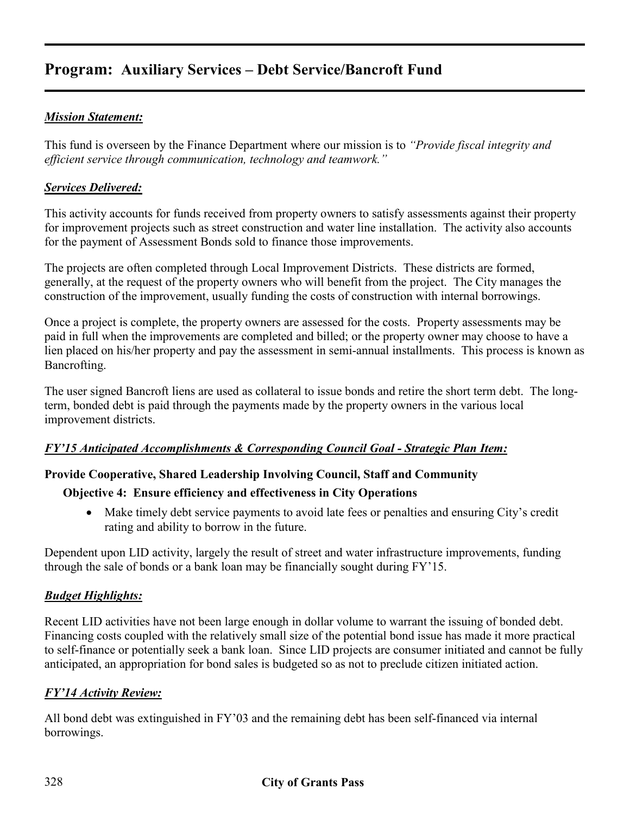## **Program: Auxiliary Services – Debt Service/Bancroft Fund**

#### *Mission Statement:*

This fund is overseen by the Finance Department where our mission is to *"Provide fiscal integrity and efficient service through communication, technology and teamwork."* 

#### *Services Delivered:*

This activity accounts for funds received from property owners to satisfy assessments against their property for improvement projects such as street construction and water line installation. The activity also accounts for the payment of Assessment Bonds sold to finance those improvements.

The projects are often completed through Local Improvement Districts. These districts are formed, generally, at the request of the property owners who will benefit from the project. The City manages the construction of the improvement, usually funding the costs of construction with internal borrowings.

Once a project is complete, the property owners are assessed for the costs. Property assessments may be paid in full when the improvements are completed and billed; or the property owner may choose to have a lien placed on his/her property and pay the assessment in semi-annual installments. This process is known as Bancrofting.

The user signed Bancroft liens are used as collateral to issue bonds and retire the short term debt. The longterm, bonded debt is paid through the payments made by the property owners in the various local improvement districts.

#### *FY'15 Anticipated Accomplishments & Corresponding Council Goal - Strategic Plan Item:*

#### **Provide Cooperative, Shared Leadership Involving Council, Staff and Community**

#### **Objective 4: Ensure efficiency and effectiveness in City Operations**

• Make timely debt service payments to avoid late fees or penalties and ensuring City's credit rating and ability to borrow in the future.

Dependent upon LID activity, largely the result of street and water infrastructure improvements, funding through the sale of bonds or a bank loan may be financially sought during FY'15.

#### *Budget Highlights:*

Recent LID activities have not been large enough in dollar volume to warrant the issuing of bonded debt. Financing costs coupled with the relatively small size of the potential bond issue has made it more practical to self-finance or potentially seek a bank loan. Since LID projects are consumer initiated and cannot be fully anticipated, an appropriation for bond sales is budgeted so as not to preclude citizen initiated action.

#### *FY'14 Activity Review:*

All bond debt was extinguished in FY'03 and the remaining debt has been self-financed via internal borrowings.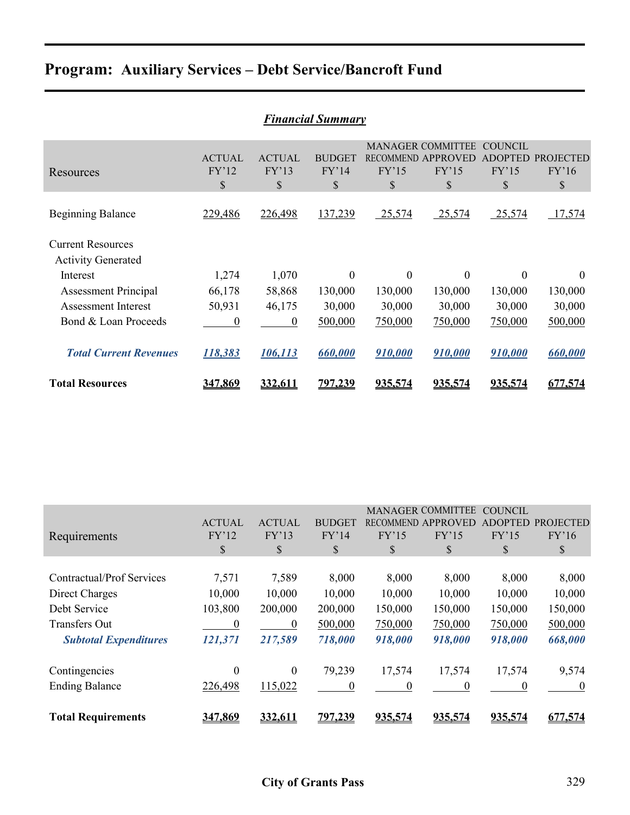# **Program: Auxiliary Services – Debt Service/Bancroft Fund**

| <b>Financial Summary</b>                              |                              |                              |                              |                |                                                               |                                          |                                 |  |  |
|-------------------------------------------------------|------------------------------|------------------------------|------------------------------|----------------|---------------------------------------------------------------|------------------------------------------|---------------------------------|--|--|
| Resources                                             | <b>ACTUAL</b><br>FY'12<br>\$ | <b>ACTUAL</b><br>FY'13<br>\$ | <b>BUDGET</b><br>FY'14<br>\$ | FY'15<br>\$    | <b>MANAGER COMMITTEE</b><br>RECOMMEND APPROVED<br>FY'15<br>\$ | COUNCIL<br><b>ADOPTED</b><br>FY'15<br>\$ | <b>PROJECTED</b><br>FY'16<br>\$ |  |  |
| <b>Beginning Balance</b>                              | 229,486                      | 226,498                      | 137,239                      | 25,574         | 25,574                                                        | 25,574                                   | 17,574                          |  |  |
| <b>Current Resources</b><br><b>Activity Generated</b> |                              |                              |                              |                |                                                               |                                          |                                 |  |  |
| Interest                                              | 1,274                        | 1,070                        | 0                            | $\overline{0}$ | $\Omega$                                                      | $\Omega$                                 | $\theta$                        |  |  |
| <b>Assessment Principal</b>                           | 66,178                       | 58,868                       | 130,000                      | 130,000        | 130,000                                                       | 130,000                                  | 130,000                         |  |  |
| <b>Assessment Interest</b>                            | 50,931                       | 46,175                       | 30,000                       | 30,000         | 30,000                                                        | 30,000                                   | 30,000                          |  |  |
| Bond & Loan Proceeds                                  | $\boldsymbol{0}$             | $\boldsymbol{0}$             | 500,000                      | 750,000        | 750,000                                                       | 750,000                                  | 500,000                         |  |  |
| <b>Total Current Revenues</b>                         | 118,383                      | <u>106,113</u>               | 660,000                      | 910,000        | 910,000                                                       | 910,000                                  | 660,000                         |  |  |
| <b>Total Resources</b>                                | <u>347.869</u>               | 332.611                      | <u>797.239</u>               | 935.574        | 935.574                                                       | 935.574                                  | 677,574                         |  |  |

|                              |               |                |                |                  | <b>MANAGER COMMITTEE</b> | <b>COUNCIL</b> |                  |
|------------------------------|---------------|----------------|----------------|------------------|--------------------------|----------------|------------------|
|                              | <b>ACTUAL</b> | <b>ACTUAL</b>  | <b>BUDGET</b>  | <b>RECOMMEND</b> | APPROVED                 | <b>ADOPTED</b> | <b>PROJECTED</b> |
| Requirements                 | FY'12         | FY'13          | FY'14          | FY'15            | FY'15                    | FY'15          | FY'16            |
|                              | \$            | \$             | \$             | \$               | \$                       | S              | $\mathcal{S}$    |
|                              |               |                |                |                  |                          |                |                  |
| Contractual/Prof Services    | 7,571         | 7,589          | 8,000          | 8,000            | 8,000                    | 8,000          | 8,000            |
| Direct Charges               | 10,000        | 10,000         | 10,000         | 10,000           | 10,000                   | 10,000         | 10,000           |
| Debt Service                 | 103,800       | 200,000        | 200,000        | 150,000          | 150,000                  | 150,000        | 150,000          |
| <b>Transfers Out</b>         | 0             | $\overline{0}$ | 500,000        | 750,000          | 750,000                  | 750,000        | 500,000          |
| <b>Subtotal Expenditures</b> | 121,371       | 217,589        | 718,000        | 918,000          | 918,000                  | 918,000        | 668,000          |
|                              |               |                |                |                  |                          |                |                  |
| Contingencies                | $\theta$      | $\overline{0}$ | 79,239         | 17,574           | 17,574                   | 17,574         | 9,574            |
| <b>Ending Balance</b>        | 226,498       | 115,022        | $\theta$       | $\Omega$         | 0                        | 0              | $\theta$         |
| <b>Total Requirements</b>    | 347,869       | 332,611        | <u>797,239</u> | 935,574          | 935,574                  | 935,574        | 677,574          |
|                              |               |                |                |                  |                          |                |                  |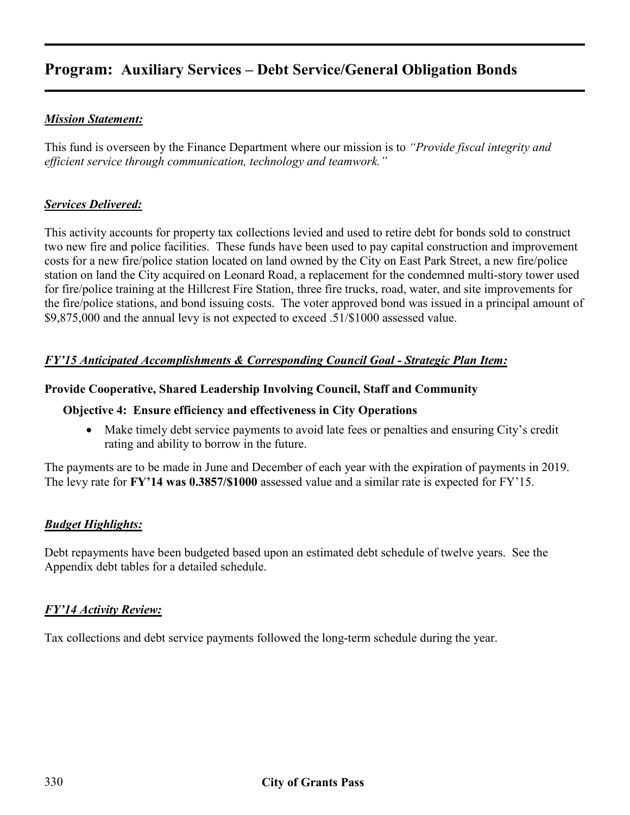## **Program: Auxiliary Services – Debt Service/General Obligation Bonds**

#### *Mission Statement:*

This fund is overseen by the Finance Department where our mission is to *"Provide fiscal integrity and efficient service through communication, technology and teamwork."* 

#### *Services Delivered:*

This activity accounts for property tax collections levied and used to retire debt for bonds sold to construct two new fire and police facilities. These funds have been used to pay capital construction and improvement costs for a new fire/police station located on land owned by the City on East Park Street, a new fire/police station on land the City acquired on Leonard Road, a replacement for the condemned multi-story tower used for fire/police training at the Hillcrest Fire Station, three fire trucks, road, water, and site improvements for the fire/police stations, and bond issuing costs. The voter approved bond was issued in a principal amount of \$9,875,000 and the annual levy is not expected to exceed .51/\$1000 assessed value.

#### *FY'15 Anticipated Accomplishments & Corresponding Council Goal - Strategic Plan Item:*

#### **Provide Cooperative, Shared Leadership Involving Council, Staff and Community**

#### **Objective 4: Ensure efficiency and effectiveness in City Operations**

• Make timely debt service payments to avoid late fees or penalties and ensuring City's credit rating and ability to borrow in the future.

The payments are to be made in June and December of each year with the expiration of payments in 2019. The levy rate for **FY'14 was 0.3857/\$1000** assessed value and a similar rate is expected for FY'15.

#### *Budget Highlights:*

Debt repayments have been budgeted based upon an estimated debt schedule of twelve years. See the Appendix debt tables for a detailed schedule.

#### *FY'14 Activity Review:*

Tax collections and debt service payments followed the long-term schedule during the year.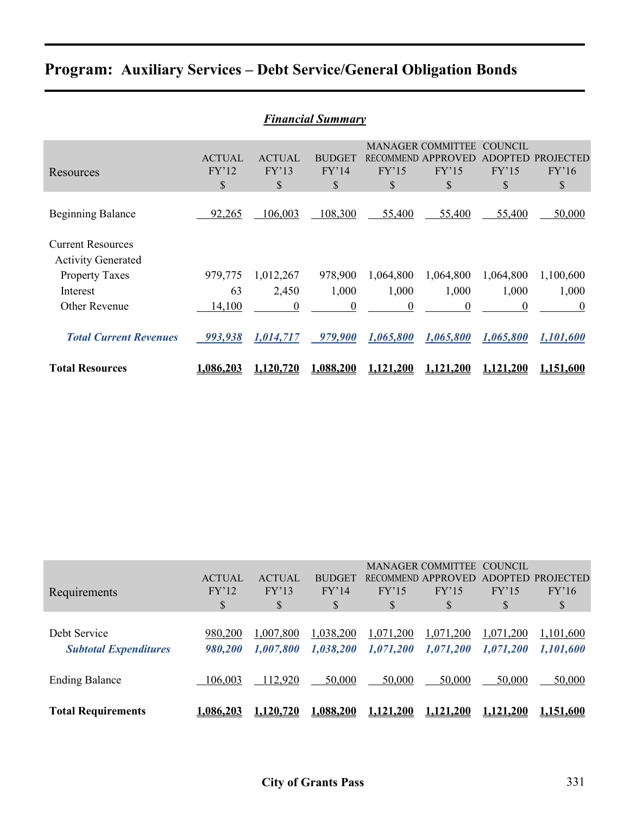## **Program: Auxiliary Services – Debt Service/General Obligation Bonds**

|                               |                  |               | <b>Financial Summary</b> |                  |                          |                |                  |
|-------------------------------|------------------|---------------|--------------------------|------------------|--------------------------|----------------|------------------|
|                               |                  |               |                          |                  | <b>MANAGER COMMITTEE</b> | <b>COUNCIL</b> |                  |
|                               | <b>ACTUAL</b>    | <b>ACTUAL</b> | <b>BUDGET</b>            | <b>RECOMMEND</b> | APPROVED                 | <b>ADOPTED</b> | <b>PROJECTED</b> |
| Resources                     | FY'12            | FY'13         | FY'14                    | FY'15            | FY'15                    | FY'15          | FY'16            |
|                               | \$               | \$            | \$                       | \$               | \$                       | \$             | \$               |
|                               |                  |               |                          |                  |                          |                |                  |
| <b>Beginning Balance</b>      | 92,265           | 106,003       | 108,300                  | 55,400           | 55,400                   | 55,400         | 50,000           |
| <b>Current Resources</b>      |                  |               |                          |                  |                          |                |                  |
| <b>Activity Generated</b>     |                  |               |                          |                  |                          |                |                  |
| <b>Property Taxes</b>         | 979,775          | 1,012,267     | 978,900                  | 1,064,800        | 1,064,800                | 1,064,800      | 1,100,600        |
| Interest                      | 63               | 2,450         | 1,000                    | 1,000            | 1,000                    | 1,000          | 1,000            |
| Other Revenue                 | 14,100           | $\theta$      | 0                        | $\theta$         | 0                        | $\theta$       | $\boldsymbol{0}$ |
| <b>Total Current Revenues</b> | 993,938          | 1,014,717     | 979,900                  | 1,065,800        | 1,065,800                | 1,065,800      | 1,101,600        |
| <b>Total Resources</b>        | <u>1.086.203</u> | 1.120.720     | 1,088,200                | <b>1.121.200</b> | <u>1.121.200</u>         | 1.121.200      | 1.151.600        |

|                              |               |               |               |           | <b>MANAGER COMMITTEE</b>  | <b>COUNCIL</b> |                   |
|------------------------------|---------------|---------------|---------------|-----------|---------------------------|----------------|-------------------|
|                              | <b>ACTUAL</b> | <b>ACTUAL</b> | <b>BUDGET</b> |           | <b>RECOMMEND APPROVED</b> |                | ADOPTED PROJECTED |
| Requirements                 | FY'12         | FY'13         | FY'14         | FY'15     | FY'15                     | FY'15          | FY'16             |
|                              | \$            | \$            | \$            | \$        | \$                        | \$             | \$                |
|                              |               |               |               |           |                           |                |                   |
| Debt Service                 | 980,200       | 1,007,800     | 1,038,200     | 1,071,200 | 1,071,200                 | 1,071,200      | 1,101,600         |
| <b>Subtotal Expenditures</b> | 980,200       | 1,007,800     | 1,038,200     | 1,071,200 | 1,071,200                 | 1,071,200      | 1,101,600         |
|                              |               |               |               |           |                           |                |                   |
|                              |               |               |               |           |                           |                |                   |
| <b>Ending Balance</b>        | 106,003       | 112,920       | 50,000        | 50,000    | 50,000                    | 50,000         | 50,000            |
|                              |               |               |               |           |                           |                |                   |
| <b>Total Requirements</b>    | 1,086,203     | 1,120,720     | 1,088,200     | 1.121.200 | 1.121.200                 | ,121,200       | <u>1,151,600</u>  |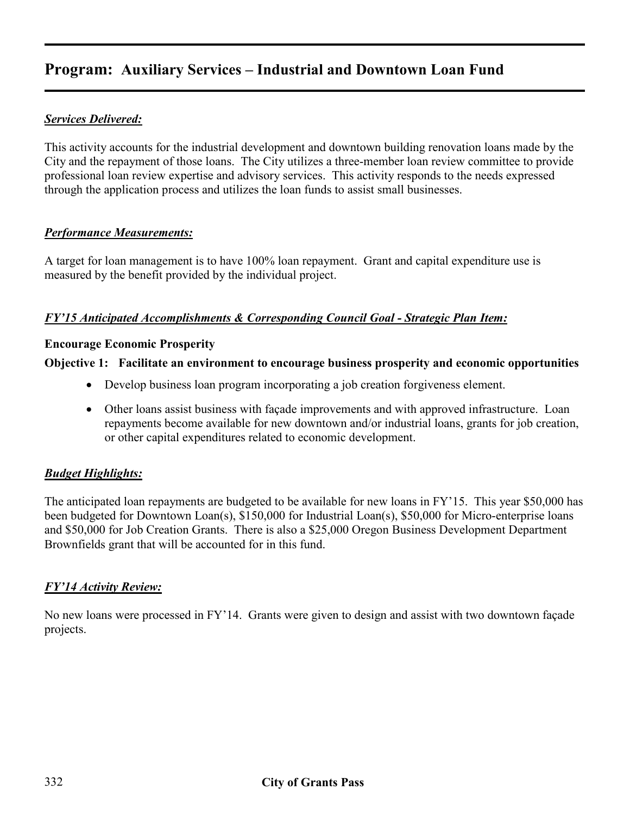## **Program: Auxiliary Services – Industrial and Downtown Loan Fund**

#### *Services Delivered:*

This activity accounts for the industrial development and downtown building renovation loans made by the City and the repayment of those loans. The City utilizes a three-member loan review committee to provide professional loan review expertise and advisory services. This activity responds to the needs expressed through the application process and utilizes the loan funds to assist small businesses.

#### *Performance Measurements:*

A target for loan management is to have 100% loan repayment. Grant and capital expenditure use is measured by the benefit provided by the individual project.

#### *FY'15 Anticipated Accomplishments & Corresponding Council Goal - Strategic Plan Item:*

#### **Encourage Economic Prosperity**

#### **Objective 1: Facilitate an environment to encourage business prosperity and economic opportunities**

- Develop business loan program incorporating a job creation forgiveness element.
- Other loans assist business with façade improvements and with approved infrastructure. Loan repayments become available for new downtown and/or industrial loans, grants for job creation, or other capital expenditures related to economic development.

#### *Budget Highlights:*

The anticipated loan repayments are budgeted to be available for new loans in FY'15. This year \$50,000 has been budgeted for Downtown Loan(s), \$150,000 for Industrial Loan(s), \$50,000 for Micro-enterprise loans and \$50,000 for Job Creation Grants. There is also a \$25,000 Oregon Business Development Department Brownfields grant that will be accounted for in this fund.

#### *FY'14 Activity Review:*

No new loans were processed in FY'14. Grants were given to design and assist with two downtown façade projects.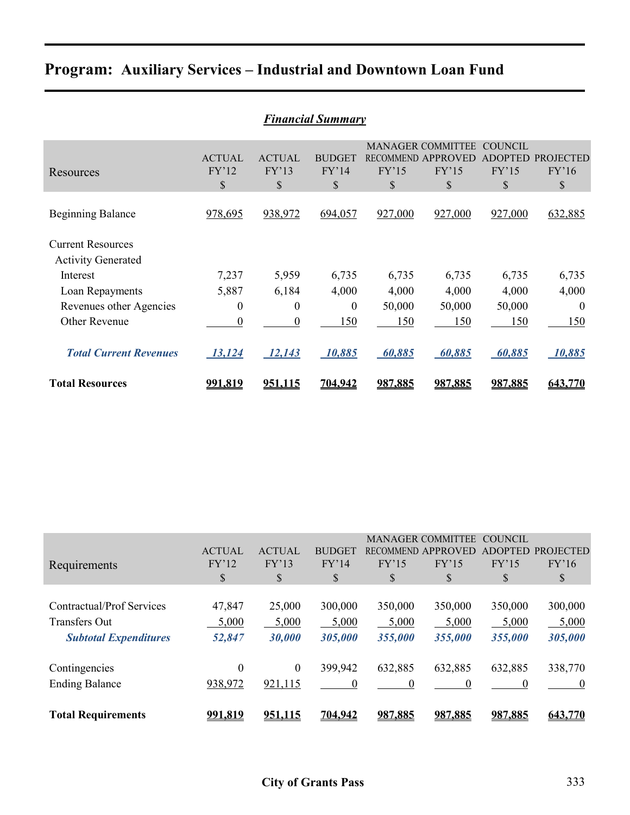## **Program: Auxiliary Services – Industrial and Downtown Loan Fund**

| <b>Financial Summary</b>                              |                                |                              |                                         |             |                                                                         |                                                 |                                 |  |  |
|-------------------------------------------------------|--------------------------------|------------------------------|-----------------------------------------|-------------|-------------------------------------------------------------------------|-------------------------------------------------|---------------------------------|--|--|
| Resources                                             | <b>ACTUAL</b><br>FY'12<br>$\$$ | <b>ACTUAL</b><br>FY'13<br>\$ | <b>BUDGET</b><br>FY'14<br>$\mathcal{S}$ | FY'15<br>\$ | <b>MANAGER COMMITTEE</b><br>RECOMMEND APPROVED<br>FY'15<br>$\mathbb{S}$ | <b>COUNCIL</b><br><b>ADOPTED</b><br>FY'15<br>\$ | <b>PROJECTED</b><br>FY'16<br>\$ |  |  |
| <b>Beginning Balance</b>                              | 978,695                        | 938,972                      | 694,057                                 | 927,000     | 927,000                                                                 | 927,000                                         | 632,885                         |  |  |
| <b>Current Resources</b><br><b>Activity Generated</b> |                                |                              |                                         |             |                                                                         |                                                 |                                 |  |  |
| Interest                                              | 7,237                          | 5,959                        | 6,735                                   | 6,735       | 6,735                                                                   | 6,735                                           | 6,735                           |  |  |
| Loan Repayments                                       | 5,887                          | 6,184                        | 4,000                                   | 4,000       | 4,000                                                                   | 4,000                                           | 4,000                           |  |  |
| Revenues other Agencies                               | $\boldsymbol{0}$               | $\boldsymbol{0}$             | $\boldsymbol{0}$                        | 50,000      | 50,000                                                                  | 50,000                                          | $\theta$                        |  |  |
| <b>Other Revenue</b>                                  | $\boldsymbol{0}$               | $\boldsymbol{0}$             | 150                                     | 150         | 150                                                                     | 150                                             | 150                             |  |  |
| <b>Total Current Revenues</b>                         | <u>13,124</u>                  | <u>12,143</u>                | 10,885                                  | 60,885      | 60,885                                                                  | 60,885                                          | 10,885                          |  |  |
| <b>Total Resources</b>                                | <u>991,819</u>                 | <u>951,115</u>               | <u>704,942</u>                          | 987,885     | 987,885                                                                 | 987,885                                         | 643,770                         |  |  |

| Requirements                                                                      | <b>ACTUAL</b><br>FY'12<br>\$           | <b>ACTUAL</b><br>FY'13<br>\$           | <b>BUDGET</b><br>FY'14<br>\$   | FY'15<br>\$                 | <b>MANAGER COMMITTEE</b><br>RECOMMEND APPROVED<br>FY'15<br>\$ | <b>COUNCIL</b><br><b>ADOPTED</b><br>FY'15<br>S | <b>PROJECTED</b><br>FY'16<br>\$ |
|-----------------------------------------------------------------------------------|----------------------------------------|----------------------------------------|--------------------------------|-----------------------------|---------------------------------------------------------------|------------------------------------------------|---------------------------------|
| Contractual/Prof Services<br><b>Transfers Out</b><br><b>Subtotal Expenditures</b> | 47,847<br>5,000<br>52,847              | 25,000<br>5,000<br>30,000              | 300,000<br>5,000<br>305,000    | 350,000<br>5,000<br>355,000 | 350,000<br>5,000<br>355,000                                   | 350,000<br>5,000<br>355,000                    | 300,000<br>5,000<br>305,000     |
| Contingencies<br><b>Ending Balance</b><br><b>Total Requirements</b>               | $\boldsymbol{0}$<br>938,972<br>991.819 | $\boldsymbol{0}$<br>921,115<br>951.115 | 399,942<br>$\theta$<br>704.942 | 632,885<br>987.885          | 632,885<br>0<br>987,885                                       | 632,885<br>$\Omega$<br>987,885                 | 338,770<br>$\bf{0}$<br>643,770  |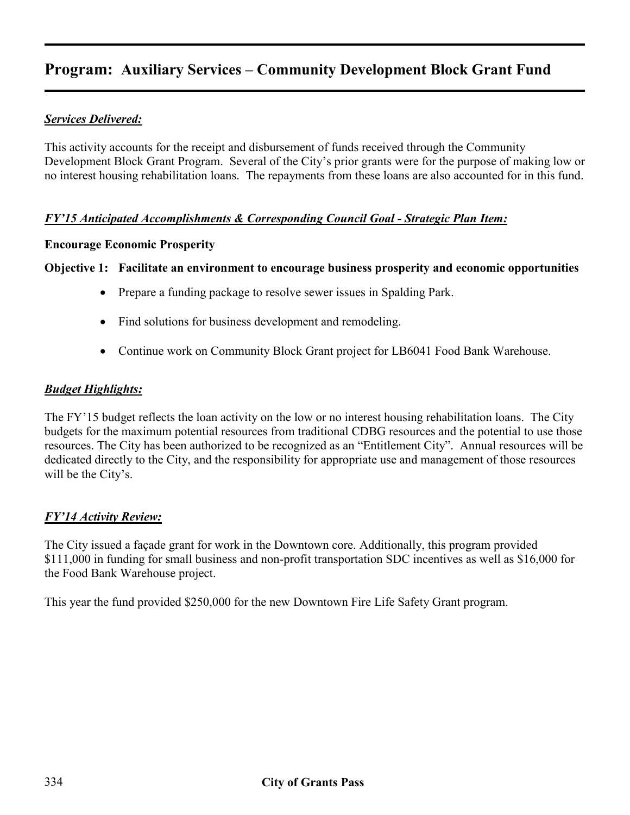## **Program: Auxiliary Services – Community Development Block Grant Fund**

#### *Services Delivered:*

This activity accounts for the receipt and disbursement of funds received through the Community Development Block Grant Program. Several of the City's prior grants were for the purpose of making low or no interest housing rehabilitation loans. The repayments from these loans are also accounted for in this fund.

#### *FY'15 Anticipated Accomplishments & Corresponding Council Goal - Strategic Plan Item:*

#### **Encourage Economic Prosperity**

#### **Objective 1: Facilitate an environment to encourage business prosperity and economic opportunities**

- Prepare a funding package to resolve sewer issues in Spalding Park.
- Find solutions for business development and remodeling.
- Continue work on Community Block Grant project for LB6041 Food Bank Warehouse.

#### *Budget Highlights:*

The FY'15 budget reflects the loan activity on the low or no interest housing rehabilitation loans. The City budgets for the maximum potential resources from traditional CDBG resources and the potential to use those resources. The City has been authorized to be recognized as an "Entitlement City". Annual resources will be dedicated directly to the City, and the responsibility for appropriate use and management of those resources will be the City's.

#### *FY'14 Activity Review:*

The City issued a façade grant for work in the Downtown core. Additionally, this program provided \$111,000 in funding for small business and non-profit transportation SDC incentives as well as \$16,000 for the Food Bank Warehouse project.

This year the fund provided \$250,000 for the new Downtown Fire Life Safety Grant program.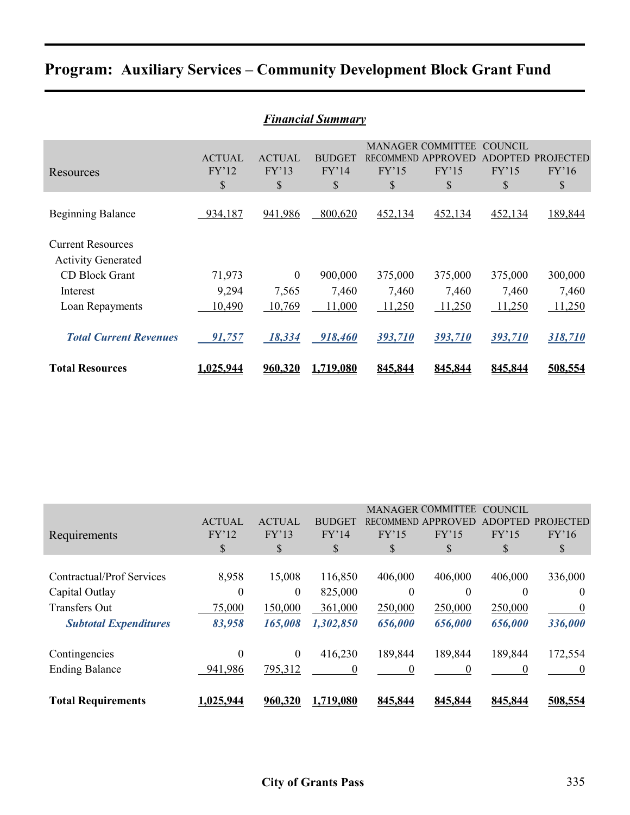|  |  | <b>Program: Auxiliary Services - Community Development Block Grant Fund</b> |  |
|--|--|-----------------------------------------------------------------------------|--|
|  |  |                                                                             |  |

|                               | <b>Financial Summary</b> |                  |               |                  |                          |                |                  |  |  |  |
|-------------------------------|--------------------------|------------------|---------------|------------------|--------------------------|----------------|------------------|--|--|--|
|                               |                          |                  |               |                  | <b>MANAGER COMMITTEE</b> | <b>COUNCIL</b> |                  |  |  |  |
|                               | <b>ACTUAL</b>            | <b>ACTUAL</b>    | <b>BUDGET</b> | <b>RECOMMEND</b> | APPROVED                 | <b>ADOPTED</b> | <b>PROJECTED</b> |  |  |  |
| Resources                     | FY'12                    | FY'13            | FY'14         | FY'15            | FY'15                    | FY'15          | FY'16            |  |  |  |
|                               | \$                       | \$               | \$            | \$               | \$                       | \$             | \$               |  |  |  |
|                               |                          |                  |               |                  |                          |                |                  |  |  |  |
| <b>Beginning Balance</b>      | 934,187                  | 941,986          | 800,620       | 452,134          | 452,134                  | 452,134        | 189,844          |  |  |  |
|                               |                          |                  |               |                  |                          |                |                  |  |  |  |
| <b>Current Resources</b>      |                          |                  |               |                  |                          |                |                  |  |  |  |
| <b>Activity Generated</b>     |                          |                  |               |                  |                          |                |                  |  |  |  |
| <b>CD Block Grant</b>         | 71,973                   | $\boldsymbol{0}$ | 900,000       | 375,000          | 375,000                  | 375,000        | 300,000          |  |  |  |
| Interest                      | 9,294                    | 7,565            | 7,460         | 7,460            | 7,460                    | 7,460          | 7,460            |  |  |  |
| Loan Repayments               | 10,490                   | 10,769           | 11,000        | 11,250           | 11,250                   | 11,250         | 11,250           |  |  |  |
|                               |                          |                  |               |                  |                          |                |                  |  |  |  |
| <b>Total Current Revenues</b> | 91,757                   | 18,334           | 918,460       | 393,710          | 393,710                  | 393,710        | 318,710          |  |  |  |
| <b>Total Resources</b>        | 1.025.944                | 960,320          | 1,719,080     | 845.844          | 845,844                  | 845.844        | 508,554          |  |  |  |
|                               |                          |                  |               |                  |                          |                |                  |  |  |  |

|                              |               |               |               |                  | <b>MANAGER COMMITTEE</b> | COUNCIL        |                  |
|------------------------------|---------------|---------------|---------------|------------------|--------------------------|----------------|------------------|
|                              | <b>ACTUAL</b> | <b>ACTUAL</b> | <b>BUDGET</b> | <b>RECOMMEND</b> | APPROVED                 | <b>ADOPTED</b> | <b>PROJECTED</b> |
| Requirements                 | FY'12         | FY'13         | FY'14         | FY'15            | FY'15                    | FY'15          | FY'16            |
|                              | \$            | \$            | \$            | \$               | \$                       | S              | \$               |
|                              |               |               |               |                  |                          |                |                  |
| Contractual/Prof Services    | 8,958         | 15,008        | 116,850       | 406,000          | 406,000                  | 406,000        | 336,000          |
| Capital Outlay               | $\theta$      | $\mathbf{0}$  | 825,000       | $\theta$         | $\theta$                 | $\Omega$       | $\theta$         |
| <b>Transfers Out</b>         | 75,000        | 150,000       | 361,000       | 250,000          | 250,000                  | 250,000        | $\theta$         |
| <b>Subtotal Expenditures</b> | 83,958        | 165,008       | 1,302,850     | 656,000          | 656,000                  | 656,000        | 336,000          |
| Contingencies                | $\mathbf{0}$  | $\mathbf{0}$  | 416,230       | 189,844          | 189,844                  | 189,844        | 172,554          |
| <b>Ending Balance</b>        | 941,986       | 795,312       | 0             | 0                | 0                        |                | $\theta$         |
|                              |               |               |               |                  |                          |                |                  |
| <b>Total Requirements</b>    | 1,025,944     | 960.320       | 1.719.080     | 845.844          | 845.844                  | 845,844        | 508.554          |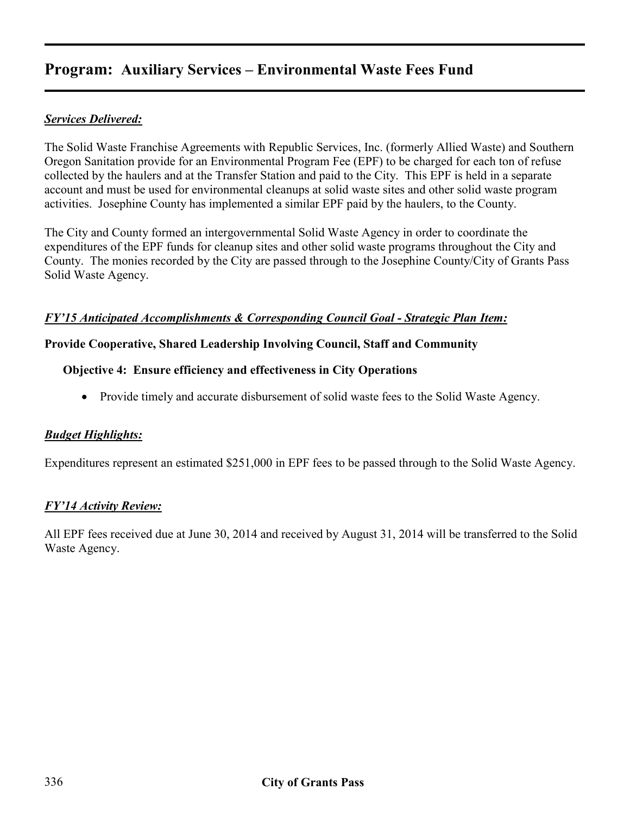## **Program: Auxiliary Services – Environmental Waste Fees Fund**

### *Services Delivered:*

The Solid Waste Franchise Agreements with Republic Services, Inc. (formerly Allied Waste) and Southern Oregon Sanitation provide for an Environmental Program Fee (EPF) to be charged for each ton of refuse collected by the haulers and at the Transfer Station and paid to the City. This EPF is held in a separate account and must be used for environmental cleanups at solid waste sites and other solid waste program activities. Josephine County has implemented a similar EPF paid by the haulers, to the County.

The City and County formed an intergovernmental Solid Waste Agency in order to coordinate the expenditures of the EPF funds for cleanup sites and other solid waste programs throughout the City and County. The monies recorded by the City are passed through to the Josephine County/City of Grants Pass Solid Waste Agency.

#### *FY'15 Anticipated Accomplishments & Corresponding Council Goal - Strategic Plan Item:*

#### **Provide Cooperative, Shared Leadership Involving Council, Staff and Community**

#### **Objective 4: Ensure efficiency and effectiveness in City Operations**

• Provide timely and accurate disbursement of solid waste fees to the Solid Waste Agency.

#### *Budget Highlights:*

Expenditures represent an estimated \$251,000 in EPF fees to be passed through to the Solid Waste Agency.

#### *FY'14 Activity Review:*

All EPF fees received due at June 30, 2014 and received by August 31, 2014 will be transferred to the Solid Waste Agency.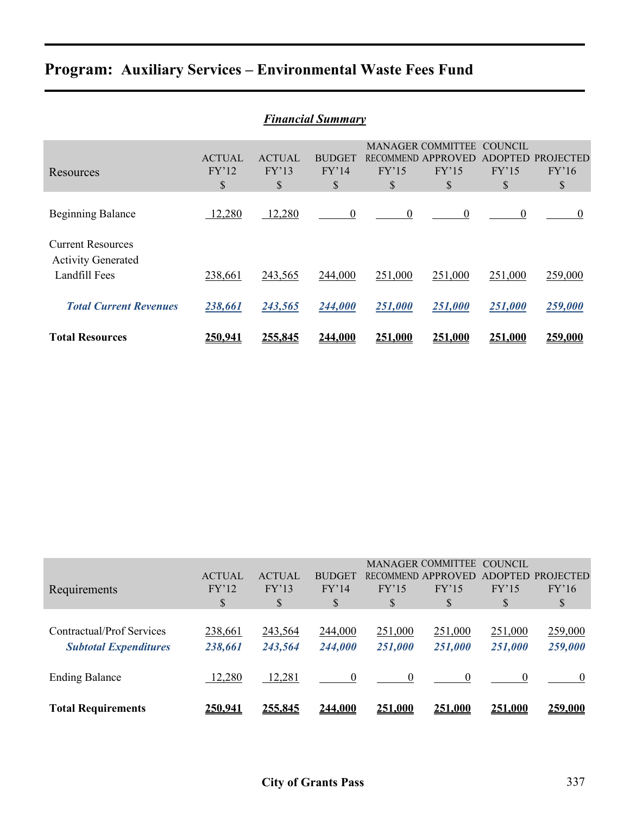# **Program: Auxiliary Services – Environmental Waste Fees Fund**

| <b>Financial Summary</b>                                               |                              |                              |                              |             |                                                               |                                                 |                                 |  |
|------------------------------------------------------------------------|------------------------------|------------------------------|------------------------------|-------------|---------------------------------------------------------------|-------------------------------------------------|---------------------------------|--|
| Resources                                                              | <b>ACTUAL</b><br>FY'12<br>\$ | <b>ACTUAL</b><br>FY'13<br>\$ | <b>BUDGET</b><br>FY'14<br>\$ | FY'15<br>\$ | <b>MANAGER COMMITTEE</b><br>RECOMMEND APPROVED<br>FY'15<br>\$ | <b>COUNCIL</b><br><b>ADOPTED</b><br>FY'15<br>\$ | <b>PROJECTED</b><br>FY'16<br>\$ |  |
| <b>Beginning Balance</b>                                               | 12,280                       | 12,280                       | 0                            | $\theta$    | $\mathbf{0}$                                                  | $\theta$                                        | $\theta$                        |  |
| <b>Current Resources</b><br><b>Activity Generated</b><br>Landfill Fees | 238,661                      | 243,565                      | 244,000                      | 251,000     | 251,000                                                       | 251,000                                         | 259,000                         |  |
| <b>Total Current Revenues</b>                                          | 238,661                      | 243,565                      | 244,000                      | 251,000     | 251,000                                                       | 251,000                                         | 259,000                         |  |
| <b>Total Resources</b>                                                 | 250.941                      | 255.845                      | 244.000                      | 251.000     | 251.000                                                       | 251.000                                         | 259,000                         |  |

| <b>Total Requirements</b>                                 | <u>250.941</u>               | 255.845                      | 244.000                      | 251.000            | 251.000                                                       | <u>251.000</u>                | 259,000                                                 |
|-----------------------------------------------------------|------------------------------|------------------------------|------------------------------|--------------------|---------------------------------------------------------------|-------------------------------|---------------------------------------------------------|
| <b>Ending Balance</b>                                     | 12,280                       | 12,281                       | 0                            |                    |                                                               |                               |                                                         |
| Contractual/Prof Services<br><b>Subtotal Expenditures</b> | 238,661<br>238,661           | 243,564<br>243,564           | 244,000<br>244,000           | 251,000<br>251,000 | 251,000<br>251,000                                            | 251,000<br>251,000            | 259,000<br>259,000                                      |
| Requirements                                              | <b>ACTUAL</b><br>FY'12<br>\$ | <b>ACTUAL</b><br>FY'13<br>\$ | <b>BUDGET</b><br>FY'14<br>\$ | FY'15<br>\$        | <b>MANAGER COMMITTEE</b><br>RECOMMEND APPROVED<br>FY'15<br>\$ | <b>COUNCIL</b><br>FY'15<br>\$ | ADOPTED PROJECTED<br>FY'16<br>$\boldsymbol{\mathsf{S}}$ |
|                                                           |                              |                              |                              |                    |                                                               |                               |                                                         |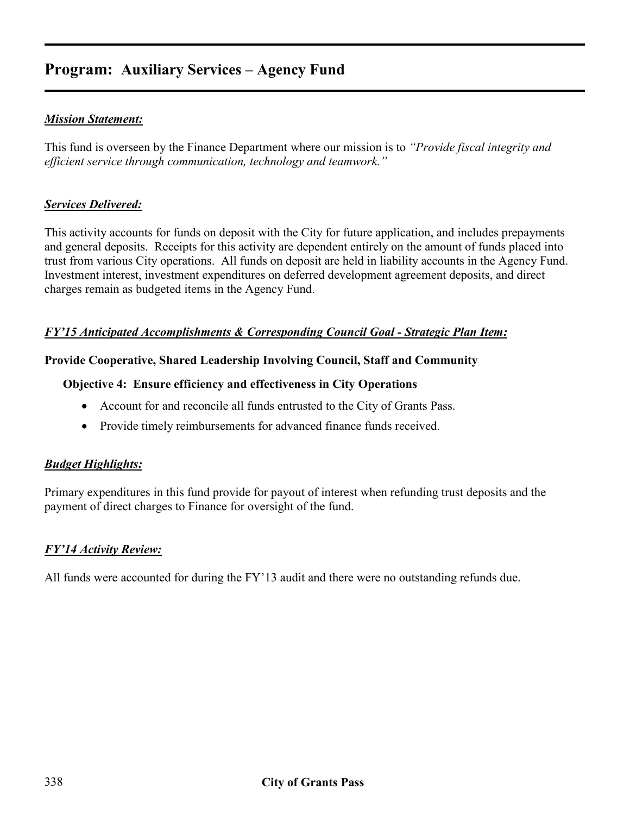## **Program: Auxiliary Services – Agency Fund**

#### *Mission Statement:*

This fund is overseen by the Finance Department where our mission is to *"Provide fiscal integrity and efficient service through communication, technology and teamwork."* 

#### *Services Delivered:*

This activity accounts for funds on deposit with the City for future application, and includes prepayments and general deposits. Receipts for this activity are dependent entirely on the amount of funds placed into trust from various City operations. All funds on deposit are held in liability accounts in the Agency Fund. Investment interest, investment expenditures on deferred development agreement deposits, and direct charges remain as budgeted items in the Agency Fund.

#### *FY'15 Anticipated Accomplishments & Corresponding Council Goal - Strategic Plan Item:*

#### **Provide Cooperative, Shared Leadership Involving Council, Staff and Community**

#### **Objective 4: Ensure efficiency and effectiveness in City Operations**

- Account for and reconcile all funds entrusted to the City of Grants Pass.
- Provide timely reimbursements for advanced finance funds received.

#### *Budget Highlights:*

Primary expenditures in this fund provide for payout of interest when refunding trust deposits and the payment of direct charges to Finance for oversight of the fund.

#### *FY'14 Activity Review:*

All funds were accounted for during the FY'13 audit and there were no outstanding refunds due.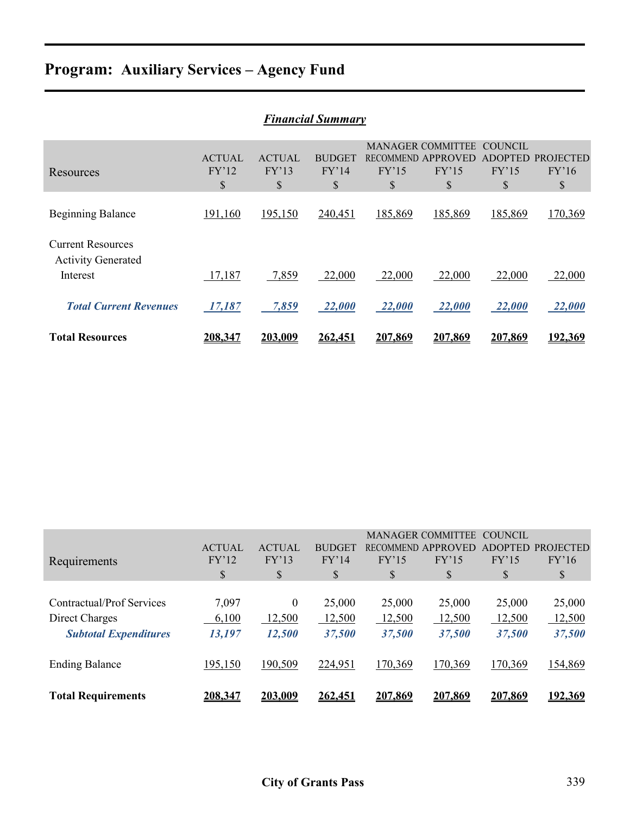# **Program: Auxiliary Services – Agency Fund**

| <b>Financial Summary</b>                                          |                              |                              |                              |             |                                                               |                                          |                                 |  |
|-------------------------------------------------------------------|------------------------------|------------------------------|------------------------------|-------------|---------------------------------------------------------------|------------------------------------------|---------------------------------|--|
| Resources                                                         | <b>ACTUAL</b><br>FY'12<br>\$ | <b>ACTUAL</b><br>FY'13<br>\$ | <b>BUDGET</b><br>FY'14<br>\$ | FY'15<br>\$ | <b>MANAGER COMMITTEE</b><br>RECOMMEND APPROVED<br>FY'15<br>\$ | COUNCIL<br><b>ADOPTED</b><br>FY'15<br>\$ | <b>PROJECTED</b><br>FY'16<br>\$ |  |
| <b>Beginning Balance</b>                                          | 191,160                      | 195,150                      | 240,451                      | 185,869     | 185,869                                                       | 185,869                                  | 170,369                         |  |
| <b>Current Resources</b><br><b>Activity Generated</b><br>Interest | 17,187                       | 7,859                        | 22,000                       | 22,000      | 22,000                                                        | 22,000                                   | 22,000                          |  |
| <b>Total Current Revenues</b>                                     | 17,187                       | 7,859                        | 22,000                       | 22,000      | 22,000                                                        | 22,000                                   | 22,000                          |  |
| <b>Total Resources</b>                                            | 208,347                      | 203,009                      | 262,451                      | 207,869     | 207,869                                                       | 207,869                                  | 192,369                         |  |

| Requirements                                                                | <b>ACTUAL</b><br>FY'12<br>\$ | <b>ACTUAL</b><br>FY'13<br>\$ | <b>BUDGET</b><br>FY'14<br>\$ | FY'15<br>\$                | <b>MANAGER COMMITTEE</b><br>RECOMMEND APPROVED<br>FY'15<br>\$ | COUNCIL<br><b>ADOPTED</b><br>FY'15<br>\$ | <b>PROJECTED</b><br>FY'16<br>\$ |
|-----------------------------------------------------------------------------|------------------------------|------------------------------|------------------------------|----------------------------|---------------------------------------------------------------|------------------------------------------|---------------------------------|
| Contractual/Prof Services<br>Direct Charges<br><b>Subtotal Expenditures</b> | 7,097<br>6,100<br>13,197     | 0<br>12,500<br>12,500        | 25,000<br>12,500<br>37,500   | 25,000<br>12,500<br>37,500 | 25,000<br>12,500<br>37,500                                    | 25,000<br>12,500<br>37,500               | 25,000<br>12,500<br>37,500      |
| <b>Ending Balance</b>                                                       | 195,150                      | 190,509                      | 224,951                      | 170,369                    | 170,369                                                       | 170,369                                  | 154,869                         |
| <b>Total Requirements</b>                                                   | <u>208,347</u>               | <u>203,009</u>               | <u>262,451</u>               | 207,869                    | 207,869                                                       | 207,869                                  | <u>192,369</u>                  |